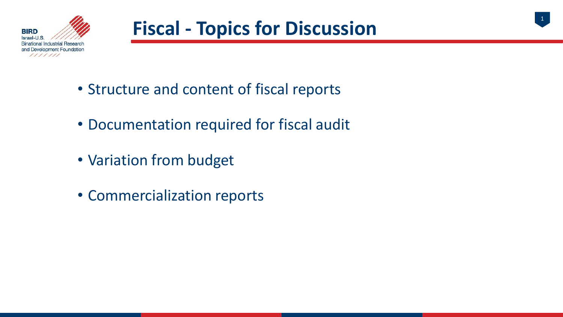

1

- Structure and content of fiscal reports
- Documentation required for fiscal audit
- Variation from budget
- Commercialization reports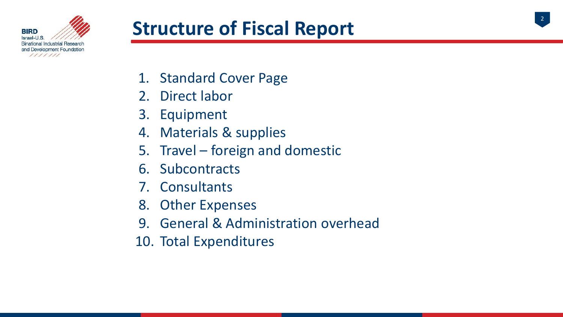

### **Structure of Fiscal Report**

- 1. Standard Cover Page
- 2. Direct labor
- 3. Equipment
- 4. Materials & supplies
- 5. Travel foreign and domestic
- 6. Subcontracts
- 7. Consultants
- 8. Other Expenses
- 9. General & Administration overhead
- 10. Total Expenditures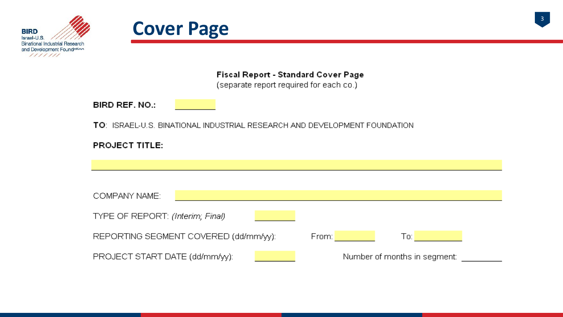



3

Fiscal Report - Standard Cover Page

(separate report required for each co.)

BIRD REF. NO.:

TO: ISRAEL-U.S. BINATIONAL INDUSTRIAL RESEARCH AND DEVELOPMENT FOUNDATION

| COMPANY NAME:                        |                              |
|--------------------------------------|------------------------------|
|                                      |                              |
| TYPE OF REPORT: (Interim; Final)     |                              |
|                                      |                              |
| REPORTING SEGMENT COVERED (dd/mm/w): | To:                          |
|                                      | From:                        |
|                                      |                              |
| PROJECT START DATE (dd/mm/yy):       | Number of months in segment: |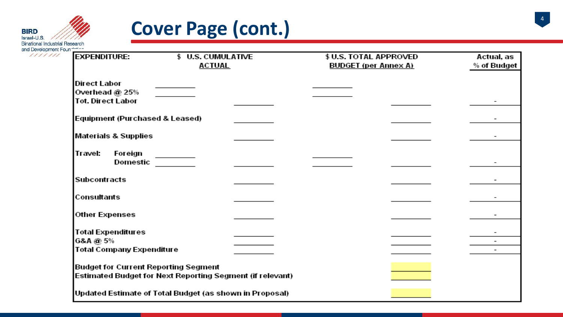

### **Cover Page (cont.)**

| <b>EXPENDITURE:</b>                         | \$ U.S. CUMULATIVE                                        | \$ U.S. TOTAL APPROVED      | Actual, as  |
|---------------------------------------------|-----------------------------------------------------------|-----------------------------|-------------|
|                                             | <b>ACTUAL</b>                                             | <b>BUDGET (per Annex A)</b> | % of Budget |
| <b>Direct Labor</b>                         |                                                           |                             |             |
| Overhead @ 25%                              |                                                           |                             |             |
| <b>Tot. Direct Labor</b>                    |                                                           |                             |             |
| Equipment (Purchased & Leased)              |                                                           |                             |             |
| <b>Materials &amp; Supplies</b>             |                                                           |                             |             |
| Foreign<br>Travel:<br>Domestic              |                                                           |                             |             |
| <b>Subcontracts</b>                         |                                                           |                             |             |
| Consultants                                 |                                                           |                             |             |
| Other Expenses                              |                                                           |                             |             |
| <b>Total Expenditures</b>                   |                                                           |                             |             |
| G&A @ 5%                                    |                                                           |                             |             |
| <b>Total Company Expenditure</b>            |                                                           |                             |             |
| <b>Budget for Current Reporting Segment</b> |                                                           |                             |             |
|                                             | Estimated Budget for Next Reporting Segment (if relevant) |                             |             |
|                                             | Updated Estimate of Total Budget (as shown in Proposal)   |                             |             |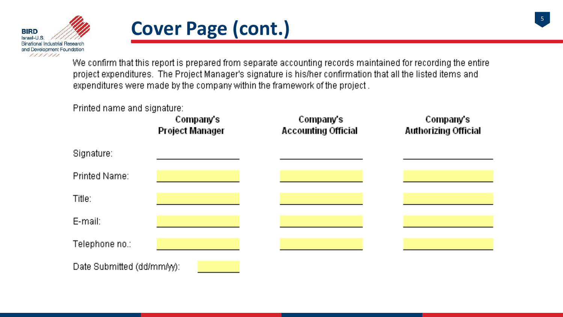

### **Cover Page (cont.)**

We confirm that this report is prepared from separate accounting records maintained for recording the entire project expenditures. The Project Manager's signature is his/her confirmation that all the listed items and expenditures were made by the company within the framework of the project.

#### Printed name and signature:

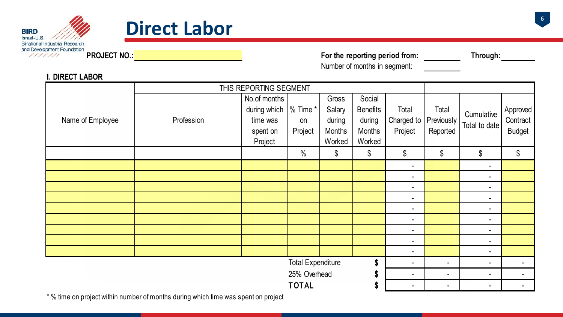



PROJECT NO.: Through: The reporting period from: Through: Number of months in segment:

|                  | THIS REPORTING SEGMENT |                                   |                          |               |                 |                |                |                |               |
|------------------|------------------------|-----------------------------------|--------------------------|---------------|-----------------|----------------|----------------|----------------|---------------|
|                  |                        | No.of months                      |                          | Gross         | Social          |                |                |                |               |
|                  |                        | during which $\frac{1}{6}$ Time * |                          | Salary        | <b>Benefits</b> | Total          | Total          | Cumulative     | Approved      |
| Name of Employee | Profession             | time was                          | on                       | during        | during          | Charged to     | Previously     | Total to date  | Contract      |
|                  |                        | spent on                          | Project                  | <b>Months</b> | Months          | Project        | Reported       |                | <b>Budget</b> |
|                  |                        | Project                           |                          | Worked        | Worked          |                |                |                |               |
|                  |                        |                                   | $\%$                     | \$            | \$              | \$             | \$             | $\$\$          | $\$\$         |
|                  |                        |                                   |                          |               |                 | $\blacksquare$ |                | $\blacksquare$ |               |
|                  |                        |                                   |                          |               |                 | $\sim$         |                | $\sim$         |               |
|                  |                        |                                   |                          |               |                 | $\blacksquare$ |                | $\blacksquare$ |               |
|                  |                        |                                   |                          |               |                 | $\sim$         |                | $\blacksquare$ |               |
|                  |                        |                                   |                          |               |                 | $\blacksquare$ |                | $\blacksquare$ |               |
|                  |                        |                                   |                          |               |                 | $\sim$         |                | $\sim$         |               |
|                  |                        |                                   |                          |               |                 | $\blacksquare$ |                | $\sim$         |               |
|                  |                        |                                   |                          |               |                 | $\blacksquare$ |                | $\blacksquare$ |               |
|                  |                        |                                   |                          |               |                 | $\sim$         |                | $\sim$         |               |
|                  |                        |                                   | <b>Total Expenditure</b> |               | \$              | $\blacksquare$ | $\blacksquare$ | $\sim$         |               |
|                  |                        |                                   | 25% Overhead             |               | S               | $\blacksquare$ | $\blacksquare$ | $\blacksquare$ |               |
|                  |                        |                                   | <b>TOTAL</b>             |               | \$              |                | $\blacksquare$ | $\blacksquare$ |               |

**I. DIRECT LABOR**

\* % time on project within number of months during which time was spent on project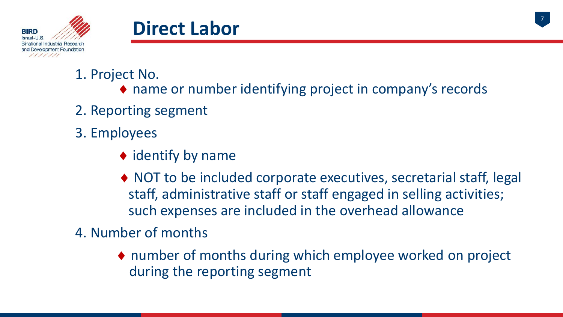



#### 1. Project No.

- ♦ name or number identifying project in company's records
- 2. Reporting segment
- 3. Employees
	- $\blacklozenge$  identify by name
	- ♦ NOT to be included corporate executives, secretarial staff, legal staff, administrative staff or staff engaged in selling activities; such expenses are included in the overhead allowance
- 4. Number of months
	- ♦ number of months during which employee worked on project during the reporting segment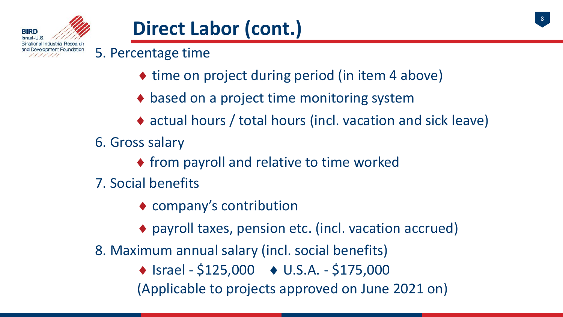

### **Direct Labor (cont.)**

5. Percentage time

- ◆ time on project during period (in item 4 above)
- $\bullet$  based on a project time monitoring system
- ♦ actual hours / total hours (incl. vacation and sick leave)
- 6. Gross salary
	- ♦ from payroll and relative to time worked
- 7. Social benefits
	- ♦ company's contribution
	- ♦ payroll taxes, pension etc. (incl. vacation accrued)
- 8. Maximum annual salary (incl. social benefits)
	- $\triangle$  Israel \$125,000  $\triangle$  U.S.A. \$175,000
	- (Applicable to projects approved on June 2021 on)

8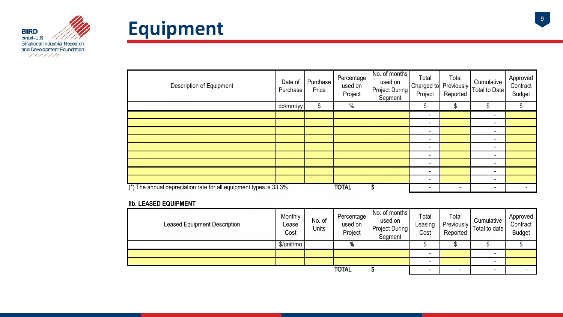



| Description of Equipment                                            | Date of<br>Purchase | Purchase<br>Price | Percentage<br>used on<br>Project | No. of months<br>used on<br><b>Project During</b><br>Segment | Total<br>Charged to Previously<br>Project | Total<br>Reported | Cumulative<br><b>Total to Date</b> | Approved<br>Contract<br><b>Budget</b> |
|---------------------------------------------------------------------|---------------------|-------------------|----------------------------------|--------------------------------------------------------------|-------------------------------------------|-------------------|------------------------------------|---------------------------------------|
|                                                                     | dd/mm/yy            | \$                | $\%$                             |                                                              | \$                                        | \$                | \$                                 | \$                                    |
|                                                                     |                     |                   |                                  |                                                              | $\overline{\phantom{a}}$                  |                   | $\blacksquare$                     |                                       |
|                                                                     |                     |                   |                                  |                                                              | $\overline{\phantom{a}}$                  |                   | $\blacksquare$                     |                                       |
|                                                                     |                     |                   |                                  |                                                              | $\overline{\phantom{a}}$                  |                   | $\blacksquare$                     |                                       |
|                                                                     |                     |                   |                                  |                                                              | -                                         |                   | ۰                                  |                                       |
|                                                                     |                     |                   |                                  |                                                              | -                                         |                   | -                                  |                                       |
|                                                                     |                     |                   |                                  |                                                              | -                                         |                   | -                                  |                                       |
|                                                                     |                     |                   |                                  |                                                              | -                                         |                   | -                                  |                                       |
|                                                                     |                     |                   |                                  |                                                              | $\overline{\phantom{a}}$                  |                   | $\blacksquare$                     |                                       |
|                                                                     |                     |                   |                                  |                                                              | $\tilde{\phantom{a}}$                     |                   | $\blacksquare$                     |                                       |
| $(*)$ The annual depreciation rate for all equipment types is 33.3% |                     |                   | <b>TOTAL</b>                     | ъ                                                            | ۰                                         |                   | ۰                                  |                                       |

#### **IIb. LEASED EQUIPMENT**

| <b>Leased Equipment Description</b> | Monthly<br>Lease<br>Cost | No. of<br>Units | Percentage<br>used on<br>Project | No. of months<br>used on<br>Project During<br>Segment | Total<br>Leasing<br>Cost | Total<br><b>Previously</b><br>Reported | Cumulative<br>Total to date | Approved<br>Contract<br><b>Budget</b> |
|-------------------------------------|--------------------------|-----------------|----------------------------------|-------------------------------------------------------|--------------------------|----------------------------------------|-----------------------------|---------------------------------------|
|                                     | \$/unit/mo               |                 | %                                |                                                       |                          |                                        |                             |                                       |
|                                     |                          |                 |                                  |                                                       |                          |                                        | $\overline{\phantom{a}}$    |                                       |
|                                     |                          |                 |                                  |                                                       | -                        |                                        |                             |                                       |
|                                     |                          |                 | <b>TOTAL</b>                     |                                                       | $\sim$                   | $\blacksquare$                         | $\overline{\phantom{0}}$    |                                       |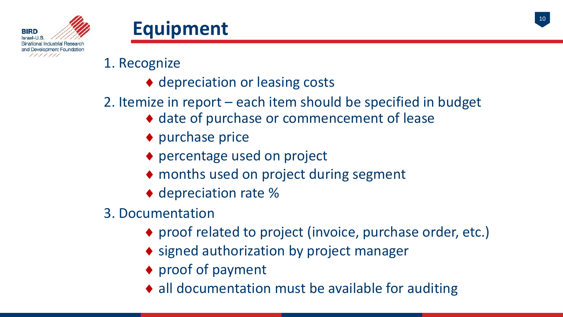



- 1. Recognize
	- ♦ depreciation or leasing costs
- 2. Itemize in report each item should be specified in budget
	- ♦ date of purchase or commencement of lease
	- ◆ purchase price
	- ♦ percentage used on project
	- ♦ months used on project during segment
	- ◆ depreciation rate %
- 3. Documentation
	- ♦ proof related to project (invoice, purchase order, etc.)
	- ◆ signed authorization by project manager
	- ♦ proof of payment
	- ♦ all documentation must be available for auditing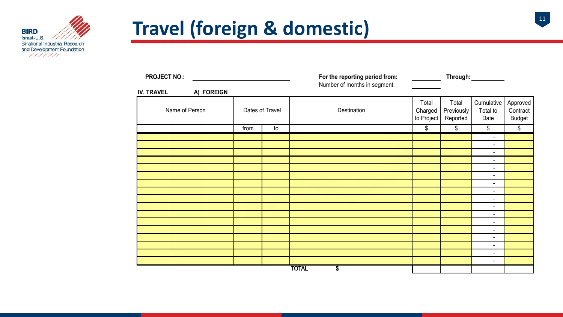

## **Travel (foreign & domestic)**



| <b>PROJECT NO.:</b> |            |                 | For the reporting period from:<br>Number of months in segment: | <u>and the state</u>           |                                 |                                            |                                       |
|---------------------|------------|-----------------|----------------------------------------------------------------|--------------------------------|---------------------------------|--------------------------------------------|---------------------------------------|
| <b>IV. TRAVEL</b>   | A) FOREIGN |                 |                                                                |                                |                                 |                                            |                                       |
| Name of Person      |            | Dates of Travel | Destination                                                    | Total<br>Charged<br>to Project | Total<br>Previously<br>Reported | Cumulative<br>Total to<br>Date             | Approved<br>Contract<br><b>Budget</b> |
|                     | from       | to              |                                                                | \$                             | \$                              | \$                                         | \$                                    |
|                     |            |                 |                                                                |                                |                                 | $\blacksquare$                             |                                       |
|                     |            |                 |                                                                |                                |                                 | $\overline{\phantom{0}}$                   |                                       |
|                     |            |                 |                                                                |                                |                                 | $\overline{\phantom{a}}$                   |                                       |
|                     |            |                 |                                                                |                                |                                 | $\overline{\phantom{0}}$                   |                                       |
|                     |            |                 |                                                                |                                |                                 | $\overline{\phantom{0}}$                   |                                       |
|                     |            |                 |                                                                |                                |                                 | $\overline{\phantom{0}}$<br>$\blacksquare$ |                                       |
|                     |            |                 |                                                                |                                |                                 | $\overline{\phantom{0}}$                   |                                       |
|                     |            |                 |                                                                |                                |                                 | $\blacksquare$                             |                                       |
|                     |            |                 |                                                                |                                |                                 | $\blacksquare$                             |                                       |
|                     |            |                 |                                                                |                                |                                 | $\blacksquare$                             |                                       |
|                     |            |                 |                                                                |                                |                                 | $\blacksquare$                             |                                       |
|                     |            |                 |                                                                |                                |                                 | $\blacksquare$                             |                                       |
|                     |            |                 |                                                                |                                |                                 | ۰.                                         |                                       |
|                     |            |                 |                                                                |                                |                                 | $\overline{\phantom{0}}$                   |                                       |
|                     |            |                 |                                                                |                                |                                 | $\overline{\phantom{0}}$                   |                                       |
|                     |            |                 | <b>TOTAL</b><br>S                                              |                                |                                 | ۰.                                         |                                       |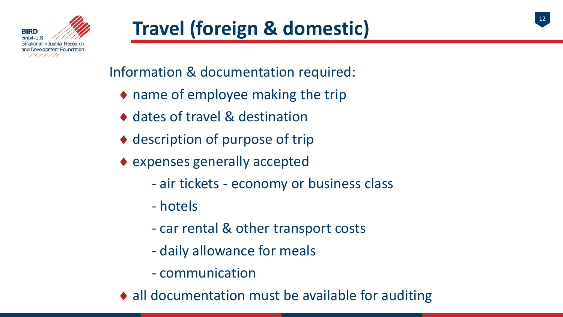Information & documentation required:

- $\bullet$  name of employee making the trip
- ♦ dates of travel & destination
- ♦ description of purpose of trip
- $\bullet$  expenses generally accepted
	- air tickets economy or business class
	- hotels
	- car rental & other transport costs
	- daily allowance for meals
	- communication
- ♦ all documentation must be available for auditing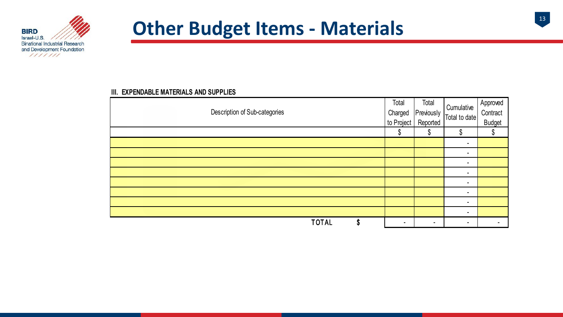

### **Other Budget Items - Materials**

#### **III. EXPENDABLE MATERIALS AND SUPPLIES**

| Description of Sub-categories | Total<br>Charged<br>to Project | Total<br>Previously<br>Reported | Cumulative<br>Total to date | Approved<br>Contract<br><b>Budget</b> |
|-------------------------------|--------------------------------|---------------------------------|-----------------------------|---------------------------------------|
|                               | œ<br>Φ                         | \$                              | ጦ<br>۱D                     |                                       |
|                               |                                |                                 | $\blacksquare$              |                                       |
|                               |                                |                                 | $\blacksquare$              |                                       |
|                               |                                |                                 | $\blacksquare$              |                                       |
|                               |                                |                                 | $\blacksquare$              |                                       |
|                               |                                |                                 | $\blacksquare$              |                                       |
|                               |                                |                                 | $\blacksquare$              |                                       |
|                               |                                |                                 | $\blacksquare$              |                                       |
|                               |                                |                                 | $\blacksquare$              |                                       |
| <b>TOTAL</b><br>\$            | $\blacksquare$                 | $\blacksquare$                  | $\blacksquare$              |                                       |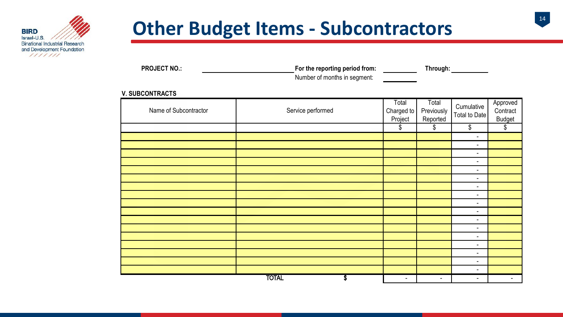

### **Other Budget Items - Subcontractors**

| <b>PROJECT NO.:</b> | For the reporting period from: | Through: |
|---------------------|--------------------------------|----------|
|                     | Number of months in segment:   |          |

#### **V. SUBCONTRACTS**

| Name of Subcontractor | Service performed | Total<br>Charged to<br>Project | Total<br>Previously<br>Reported | Cumulative<br>Total to Date | Approved<br>Contract<br><b>Budget</b> |
|-----------------------|-------------------|--------------------------------|---------------------------------|-----------------------------|---------------------------------------|
|                       |                   | \$                             | \$                              | \$                          | \$                                    |
|                       |                   |                                |                                 | $\blacksquare$              |                                       |
|                       |                   |                                |                                 | $\blacksquare$              |                                       |
|                       |                   |                                |                                 | $\blacksquare$              |                                       |
|                       |                   |                                |                                 | $\blacksquare$              |                                       |
|                       |                   |                                |                                 | $\blacksquare$              |                                       |
|                       |                   |                                |                                 | $\blacksquare$              |                                       |
|                       |                   |                                |                                 | $\blacksquare$              |                                       |
|                       |                   |                                |                                 | $\blacksquare$              |                                       |
|                       |                   |                                |                                 | $\blacksquare$              |                                       |
|                       |                   |                                |                                 | $\blacksquare$              |                                       |
|                       |                   |                                |                                 | $\blacksquare$              |                                       |
|                       |                   |                                |                                 | $\blacksquare$              |                                       |
|                       |                   |                                |                                 | $\blacksquare$              |                                       |
|                       |                   |                                |                                 | $\blacksquare$              |                                       |
|                       |                   |                                |                                 | $\blacksquare$              |                                       |
|                       |                   |                                |                                 | $\blacksquare$              |                                       |
|                       |                   |                                |                                 | ٠                           |                                       |
|                       | <b>TOTAL</b><br>S | $\blacksquare$                 | $\blacksquare$                  | $\blacksquare$              | ٠                                     |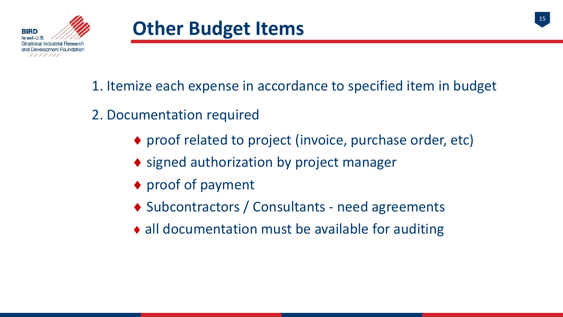

- 1. Itemize each expense in accordance to specified item in budget
- 2. Documentation required
	- ♦ proof related to project (invoice, purchase order, etc)
	- ◆ signed authorization by project manager
	- ♦ proof of payment
	- ♦ Subcontractors / Consultants need agreements
	- ♦ all documentation must be available for auditing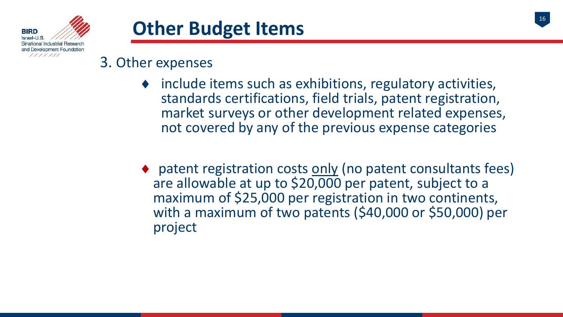

### **Other Budget Items**



#### 3. Other expenses

- $\bullet$  include items such as exhibitions, regulatory activities, standards certifications, field trials, patent registration, market surveys or other development related expenses, not covered by any of the previous expense categories
- ♦ patent registration costs only (no patent consultants fees) are allowable at up to \$20,000 per patent, subject to a maximum of \$25,000 per registration in two continents, with a maximum of two patents (\$40,000 or \$50,000) per project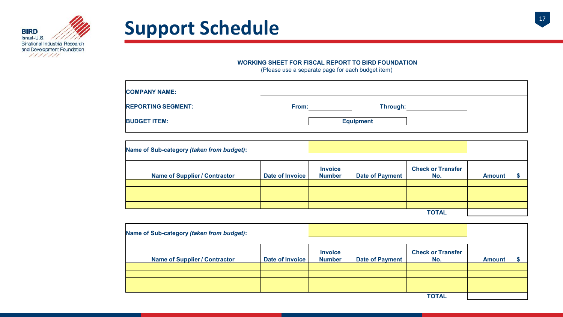

## Support Schedule<br>
17



| <b>COMPANY NAME:</b>      |                   |  |
|---------------------------|-------------------|--|
| <b>REPORTING SEGMENT:</b> | Through:<br>From: |  |
| <b>BUDGET ITEM:</b>       | <b>Equipment</b>  |  |

| Name of Sub-category (taken from budget): |                 |                                 |                        |                                 |               |  |
|-------------------------------------------|-----------------|---------------------------------|------------------------|---------------------------------|---------------|--|
| <b>Name of Supplier / Contractor</b>      | Date of Invoice | <b>Invoice</b><br><b>Number</b> | <b>Date of Payment</b> | <b>Check or Transfer</b><br>No. | <b>Amount</b> |  |
|                                           |                 |                                 |                        |                                 |               |  |
|                                           |                 |                                 |                        |                                 |               |  |
|                                           |                 |                                 |                        |                                 |               |  |
|                                           |                 |                                 |                        |                                 |               |  |
| <b>TOTAL</b>                              |                 |                                 |                        |                                 |               |  |

| Name of Sub-category (taken from budget): |                 |                                 |                        |                                 |               |  |
|-------------------------------------------|-----------------|---------------------------------|------------------------|---------------------------------|---------------|--|
| <b>Name of Supplier / Contractor</b>      | Date of Invoice | <b>Invoice</b><br><b>Number</b> | <b>Date of Payment</b> | <b>Check or Transfer</b><br>No. | <b>Amount</b> |  |
|                                           |                 |                                 |                        |                                 |               |  |
|                                           |                 |                                 |                        |                                 |               |  |
|                                           |                 |                                 |                        |                                 |               |  |
|                                           |                 |                                 |                        | <b>TOTAL</b>                    |               |  |

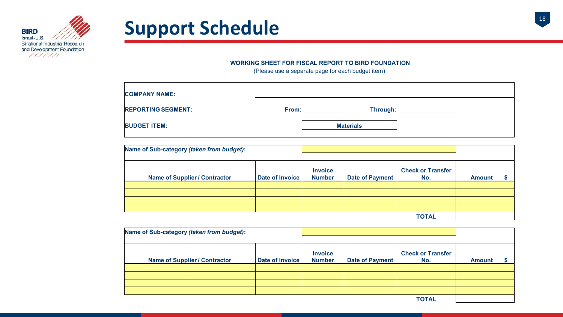

## **Support Schedule**

#### **WORKING SHEET FOR FISCAL REPORT TO BIRD FOUNDATION**

| <b>COMPANY NAME:</b>      |       |                  |  |
|---------------------------|-------|------------------|--|
| <b>REPORTING SEGMENT:</b> | From: | Through:         |  |
| <b>BUDGET ITEM:</b>       |       | <b>Materials</b> |  |

| Name of Sub-category (taken from budget): |                 |                                 |                        |                                 |               |  |
|-------------------------------------------|-----------------|---------------------------------|------------------------|---------------------------------|---------------|--|
| <b>Name of Supplier / Contractor</b>      | Date of Invoice | <b>Invoice</b><br><b>Number</b> | <b>Date of Payment</b> | <b>Check or Transfer</b><br>No. | <b>Amount</b> |  |
|                                           |                 |                                 |                        |                                 |               |  |
|                                           |                 |                                 |                        |                                 |               |  |
|                                           |                 |                                 |                        |                                 |               |  |
|                                           |                 |                                 |                        |                                 |               |  |
| <b>TOTAL</b>                              |                 |                                 |                        |                                 |               |  |

| Name of Sub-category (taken from budget): |                 |                                 |                        |                                 |               |  |
|-------------------------------------------|-----------------|---------------------------------|------------------------|---------------------------------|---------------|--|
| <b>Name of Supplier / Contractor</b>      | Date of Invoice | <b>Invoice</b><br><b>Number</b> | <b>Date of Payment</b> | <b>Check or Transfer</b><br>No. | <b>Amount</b> |  |
|                                           |                 |                                 |                        |                                 |               |  |
|                                           |                 |                                 |                        |                                 |               |  |
|                                           |                 |                                 |                        |                                 |               |  |
|                                           |                 |                                 |                        |                                 |               |  |
|                                           |                 |                                 |                        | <b>TOTAL</b>                    |               |  |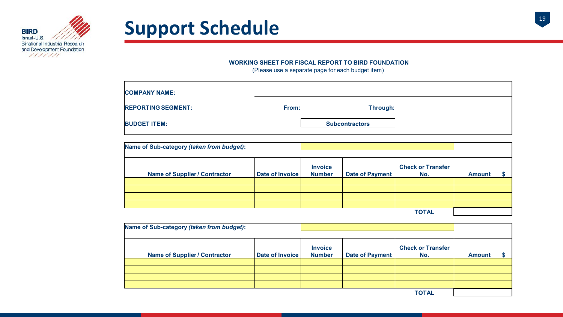

## Support Schedule<br>
19 **Support Schedule**

#### **WORKING SHEET FOR FISCAL REPORT TO BIRD FOUNDATION**

| <b>COMPANY NAME:</b>      |       |                       |  |
|---------------------------|-------|-----------------------|--|
| <b>REPORTING SEGMENT:</b> | From: | Through:              |  |
| <b>BUDGET ITEM:</b>       |       | <b>Subcontractors</b> |  |

| Name of Sub-category (taken from budget): |                 |                                 |                        |                                 |               |  |
|-------------------------------------------|-----------------|---------------------------------|------------------------|---------------------------------|---------------|--|
| <b>Name of Supplier / Contractor</b>      | Date of Invoice | <b>Invoice</b><br><b>Number</b> | <b>Date of Payment</b> | <b>Check or Transfer</b><br>No. | <b>Amount</b> |  |
|                                           |                 |                                 |                        |                                 |               |  |
|                                           |                 |                                 |                        |                                 |               |  |
|                                           |                 |                                 |                        |                                 |               |  |
|                                           |                 |                                 |                        |                                 |               |  |
| <b>TOTAL</b>                              |                 |                                 |                        |                                 |               |  |

| Name of Sub-category (taken from budget): |                 |                                 |                        |                                 |               |  |
|-------------------------------------------|-----------------|---------------------------------|------------------------|---------------------------------|---------------|--|
| <b>Name of Supplier / Contractor</b>      | Date of Invoice | <b>Invoice</b><br><b>Number</b> | <b>Date of Payment</b> | <b>Check or Transfer</b><br>No. | <b>Amount</b> |  |
|                                           |                 |                                 |                        |                                 |               |  |
|                                           |                 |                                 |                        |                                 |               |  |
|                                           |                 |                                 |                        |                                 |               |  |
|                                           |                 |                                 |                        | <b>TOTAL</b>                    |               |  |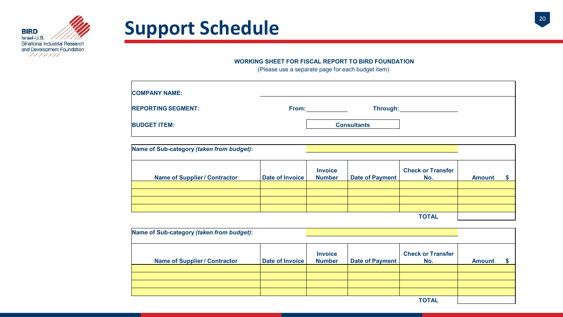

## Support Schedule<br>
20

#### **WORKING SHEET FOR FISCAL REPORT TO BIRD FOUNDATION**

| <b>COMPANY NAME:</b>      |       |                    |  |
|---------------------------|-------|--------------------|--|
| <b>REPORTING SEGMENT:</b> | From: | Through:           |  |
| <b>BUDGET ITEM:</b>       |       | <b>Consultants</b> |  |

| Name of Sub-category (taken from budget): |                 |                                 |                        |                                 |               |  |
|-------------------------------------------|-----------------|---------------------------------|------------------------|---------------------------------|---------------|--|
| <b>Name of Supplier / Contractor</b>      | Date of Invoice | <b>Invoice</b><br><b>Number</b> | <b>Date of Payment</b> | <b>Check or Transfer</b><br>No. | <b>Amount</b> |  |
|                                           |                 |                                 |                        |                                 |               |  |
|                                           |                 |                                 |                        |                                 |               |  |
|                                           |                 |                                 |                        |                                 |               |  |
|                                           |                 |                                 |                        |                                 |               |  |
| <b>TOTAL</b>                              |                 |                                 |                        |                                 |               |  |

| Name of Sub-category (taken from budget): |                 |                                 |                        |                                 |               |  |
|-------------------------------------------|-----------------|---------------------------------|------------------------|---------------------------------|---------------|--|
| <b>Name of Supplier / Contractor</b>      | Date of Invoice | <b>Invoice</b><br><b>Number</b> | <b>Date of Payment</b> | <b>Check or Transfer</b><br>No. | <b>Amount</b> |  |
|                                           |                 |                                 |                        |                                 |               |  |
|                                           |                 |                                 |                        |                                 |               |  |
|                                           |                 |                                 |                        |                                 |               |  |
|                                           |                 |                                 |                        |                                 |               |  |
|                                           |                 |                                 |                        | <b>TOTAL</b>                    |               |  |

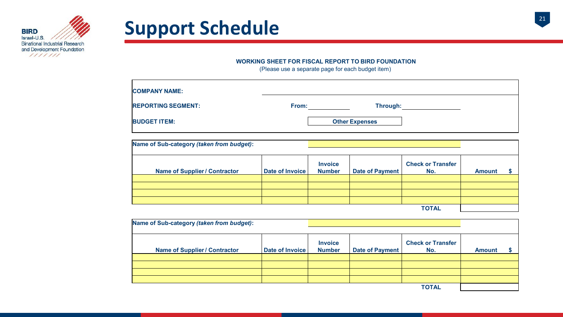

## **Support Schedule**

#### **WORKING SHEET FOR FISCAL REPORT TO BIRD FOUNDATION**

| <b>COMPANY NAME:</b>      |       |                       |  |
|---------------------------|-------|-----------------------|--|
| <b>REPORTING SEGMENT:</b> | From: | Through:              |  |
| <b>BUDGET ITEM:</b>       |       | <b>Other Expenses</b> |  |

| Name of Sub-category (taken from budget): |                 |                                 |                        |                                 |               |  |
|-------------------------------------------|-----------------|---------------------------------|------------------------|---------------------------------|---------------|--|
| <b>Name of Supplier / Contractor</b>      | Date of Invoice | <b>Invoice</b><br><b>Number</b> | <b>Date of Payment</b> | <b>Check or Transfer</b><br>No. | <b>Amount</b> |  |
|                                           |                 |                                 |                        |                                 |               |  |
|                                           |                 |                                 |                        |                                 |               |  |
|                                           |                 |                                 |                        |                                 |               |  |
|                                           |                 |                                 |                        |                                 |               |  |
| <b>TOTAL</b>                              |                 |                                 |                        |                                 |               |  |

| Name of Sub-category (taken from budget): |                 |                                 |                        |                                 |               |  |
|-------------------------------------------|-----------------|---------------------------------|------------------------|---------------------------------|---------------|--|
|                                           |                 |                                 |                        |                                 |               |  |
| <b>Name of Supplier / Contractor</b>      | Date of Invoice | <b>Invoice</b><br><b>Number</b> | <b>Date of Payment</b> | <b>Check or Transfer</b><br>No. | <b>Amount</b> |  |
|                                           |                 |                                 |                        |                                 |               |  |
|                                           |                 |                                 |                        |                                 |               |  |
|                                           |                 |                                 |                        |                                 |               |  |
| <b>TOTAL</b>                              |                 |                                 |                        |                                 |               |  |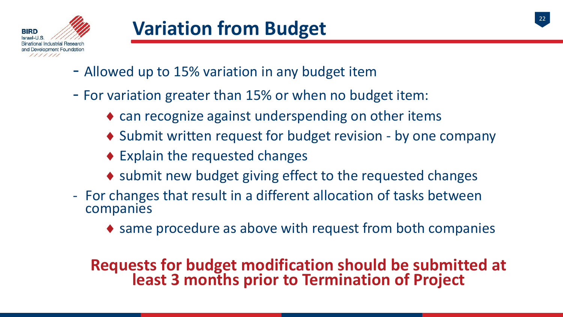

- Allowed up to 15% variation in any budget item
- For variation greater than 15% or when no budget item:
	- $\bullet$  can recognize against underspending on other items
	- ♦ Submit written request for budget revision by one company
	- $\bullet$  Explain the requested changes
	- ♦ submit new budget giving effect to the requested changes
- For changes that result in a different allocation of tasks between companies
	- ♦ same procedure as above with request from both companies

# **Requests for budget modification should be submitted at least 3 months prior to Termination of Project**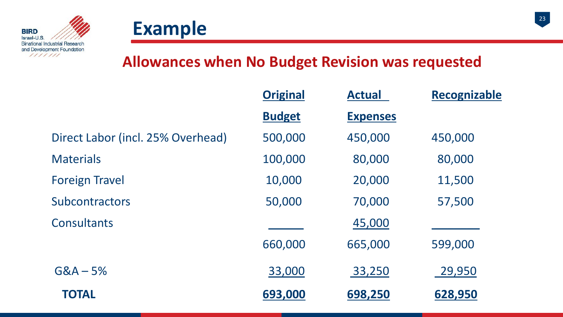



#### **Allowances when No Budget Revision was requested**

|                                   | <b>Original</b> | <b>Actual</b>   | Recognizable |
|-----------------------------------|-----------------|-----------------|--------------|
|                                   | <b>Budget</b>   | <b>Expenses</b> |              |
| Direct Labor (incl. 25% Overhead) | 500,000         | 450,000         | 450,000      |
| <b>Materials</b>                  | 100,000         | 80,000          | 80,000       |
| <b>Foreign Travel</b>             | 10,000          | 20,000          | 11,500       |
| <b>Subcontractors</b>             | 50,000          | 70,000          | 57,500       |
| <b>Consultants</b>                |                 | 45,000          |              |
|                                   | 660,000         | 665,000         | 599,000      |
| $G&A-5%$                          | 33,000          | 33,250          | 29,950       |
| <b>TOTAL</b>                      | 693,000         | 698,250         | 628,950      |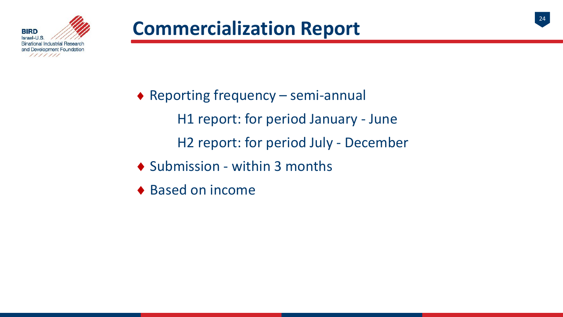

- ♦ Reporting frequency semi-annual H1 report: for period January - June H2 report: for period July - December ♦ Submission - within 3 months
- ♦ Based on income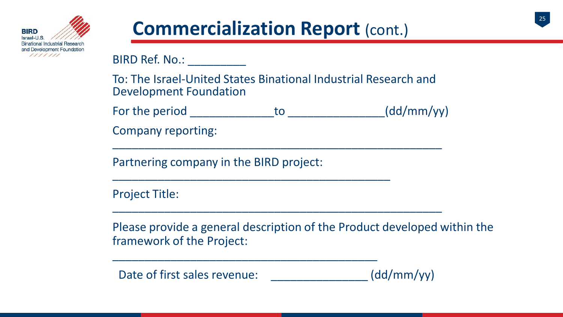

### **Commercialization Report (cont.)**

BIRD Ref. No.: \_\_\_\_\_\_\_\_\_

To: The Israel-United States Binational Industrial Research and Development Foundation

| For the period                                                          | (dd/mm/yy) |
|-------------------------------------------------------------------------|------------|
| $\mathcal{L}$ and is a set that $\mathcal{L}$ is a set of $\mathcal{L}$ |            |

Company reporting: \_\_\_\_\_\_\_\_\_\_\_\_\_\_\_\_\_\_\_\_\_\_\_\_\_\_\_\_\_\_\_\_\_\_\_\_\_\_\_\_\_\_\_\_\_\_\_\_\_\_\_

Partnering company in the BIRD project: \_\_\_\_\_\_\_\_\_\_\_\_\_\_\_\_\_\_\_\_\_\_\_\_\_\_\_\_\_\_\_\_\_\_\_\_\_\_\_\_\_\_\_

Project Title: \_\_\_\_\_\_\_\_\_\_\_\_\_\_\_\_\_\_\_\_\_\_\_\_\_\_\_\_\_\_\_\_\_\_\_\_\_\_\_\_\_\_\_\_\_\_\_\_\_\_\_

Please provide a general description of the Product developed within the framework of the Project:

Date of first sales revenue:  $(\text{dd/mm/yy})$ 

\_\_\_\_\_\_\_\_\_\_\_\_\_\_\_\_\_\_\_\_\_\_\_\_\_\_\_\_\_\_\_\_\_\_\_\_\_\_\_\_\_

25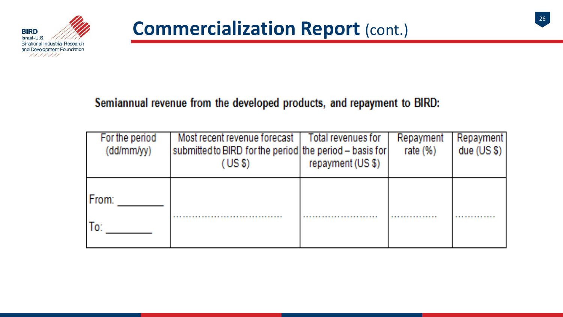

#### Semiannual revenue from the developed products, and repayment to BIRD:

| For the period<br>(dd/mm/yy) | Most recent revenue forecast  <br>submitted to BIRD for the period the period - basis for<br>(USS) | Total revenues for<br>repayment (US \$) | Repayment<br>rate $(\%)$ | Repayment<br>due $(US $)$ |
|------------------------------|----------------------------------------------------------------------------------------------------|-----------------------------------------|--------------------------|---------------------------|
| From:<br>lo:                 |                                                                                                    |                                         |                          |                           |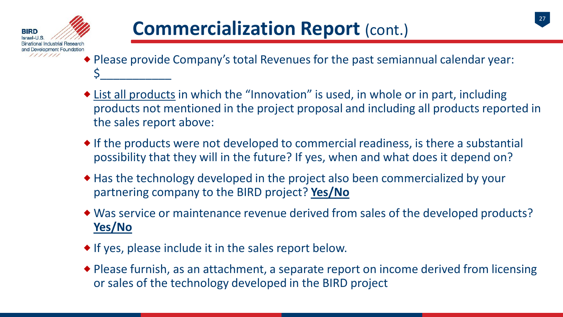

- Please provide Company's total Revenues for the past semiannual calendar year: \$\_\_\_\_\_\_\_\_\_\_\_
- List all products in which the "Innovation" is used, in whole or in part, including products not mentioned in the project proposal and including all products reported in the sales report above:
- If the products were not developed to commercial readiness, is there a substantial possibility that they will in the future? If yes, when and what does it depend on?
- Has the technology developed in the project also been commercialized by your partnering company to the BIRD project? **Yes/No**
- Was service or maintenance revenue derived from sales of the developed products? **Yes/No**
- If yes, please include it in the sales report below.
- Please furnish, as an attachment, a separate report on income derived from licensing or sales of the technology developed in the BIRD project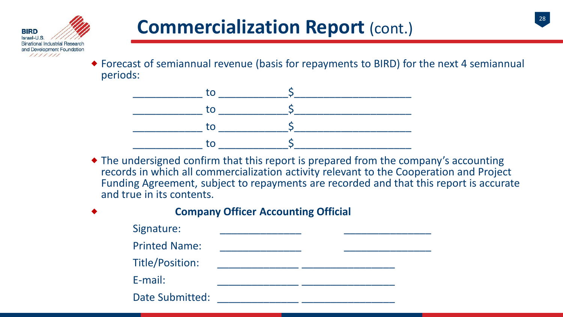

 Forecast of semiannual revenue (basis for repayments to BIRD) for the next 4 semiannual periods:



 The undersigned confirm that this report is prepared from the company's accounting records in which all commercialization activity relevant to the Cooperation and Project Funding Agreement, subject to repayments are recorded and that this report is accurate and true in its contents.

| $\blacklozenge$ | <b>Company Officer Accounting Official</b> |  |  |  |  |
|-----------------|--------------------------------------------|--|--|--|--|
|                 | Signature:                                 |  |  |  |  |
|                 | <b>Printed Name:</b>                       |  |  |  |  |
|                 | Title/Position:                            |  |  |  |  |
|                 | $E$ -mail:                                 |  |  |  |  |
|                 | <b>Date Submitted:</b>                     |  |  |  |  |